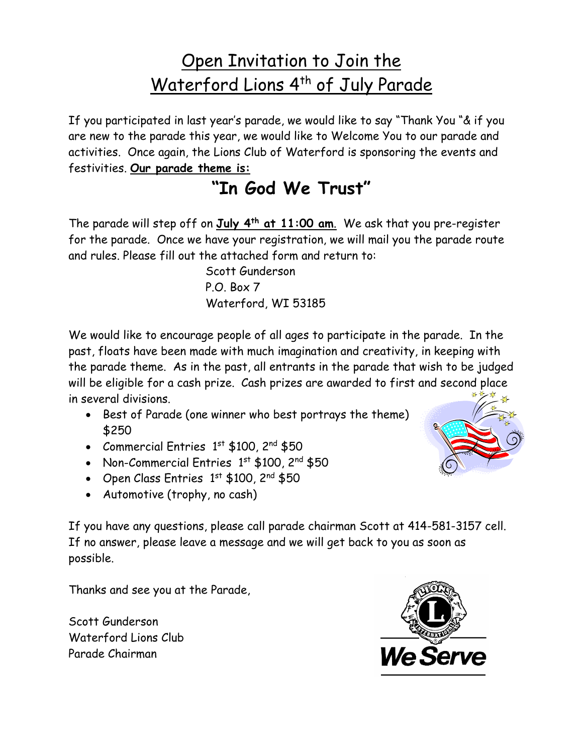## Open Invitation to Join the Waterford Lions 4<sup>th</sup> of July Parade

If you participated in last year's parade, we would like to say "Thank You "& if you are new to the parade this year, we would like to Welcome You to our parade and activities. Once again, the Lions Club of Waterford is sponsoring the events and festivities. **Our parade theme is:**

## **"In God We Trust"**

The parade will step off on **July 4th at 11:00 am**. We ask that you pre-register for the parade. Once we have your registration, we will mail you the parade route and rules. Please fill out the attached form and return to:

> Scott Gunderson P.O. Box 7 Waterford, WI 53185

We would like to encourage people of all ages to participate in the parade. In the past, floats have been made with much imagination and creativity, in keeping with the parade theme. As in the past, all entrants in the parade that wish to be judged will be eligible for a cash prize. Cash prizes are awarded to first and second place in several divisions.

- Best of Parade (one winner who best portrays the theme) \$250
- Commercial Entries  $1<sup>st</sup>$  \$100,  $2<sup>nd</sup>$  \$50
- Non-Commercial Entries 1st \$100, 2nd \$50
- Open Class Entries 1st \$100, 2nd \$50
- Automotive (trophy, no cash)

If you have any questions, please call parade chairman Scott at 414-581-3157 cell. If no answer, please leave a message and we will get back to you as soon as possible.

Thanks and see you at the Parade,

Scott Gunderson Waterford Lions Club Parade Chairman